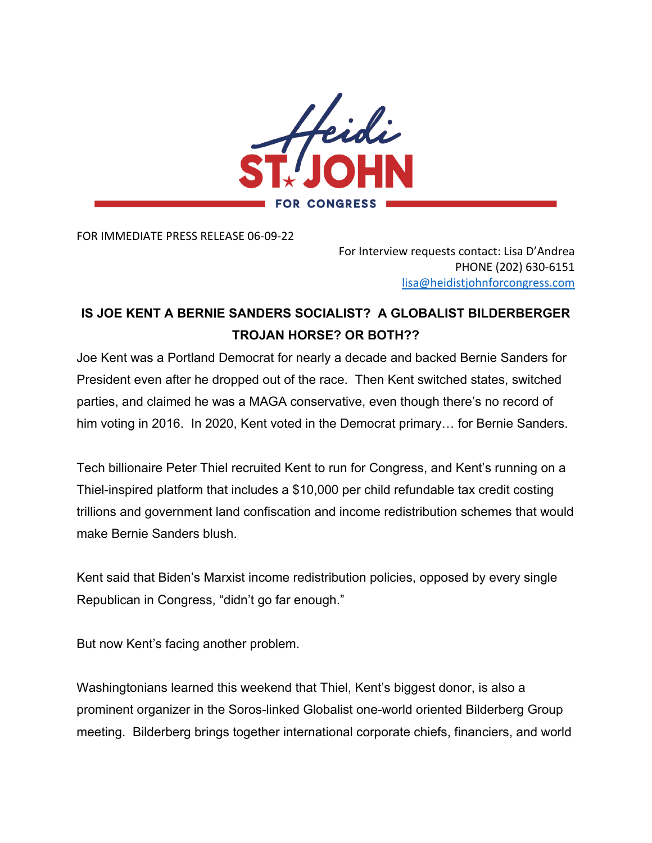

FOR IMMEDIATE PRESS RELEASE 06-09-22

For Interview requests contact: Lisa D'Andrea PHONE (202) 630-6151 lisa@heidistjohnforcongress.com

## **IS JOE KENT A BERNIE SANDERS SOCIALIST? A GLOBALIST BILDERBERGER TROJAN HORSE? OR BOTH??**

Joe Kent was a Portland Democrat for nearly a decade and backed Bernie Sanders for President even after he dropped out of the race. Then Kent switched states, switched parties, and claimed he was a MAGA conservative, even though there's no record of him voting in 2016. In 2020, Kent voted in the Democrat primary… for Bernie Sanders.

Tech billionaire Peter Thiel recruited Kent to run for Congress, and Kent's running on a Thiel-inspired platform that includes a \$10,000 per child refundable tax credit costing trillions and government land confiscation and income redistribution schemes that would make Bernie Sanders blush.

Kent said that Biden's Marxist income redistribution policies, opposed by every single Republican in Congress, "didn't go far enough."

But now Kent's facing another problem.

Washingtonians learned this weekend that Thiel, Kent's biggest donor, is also a prominent organizer in the Soros-linked Globalist one-world oriented Bilderberg Group meeting. Bilderberg brings together international corporate chiefs, financiers, and world